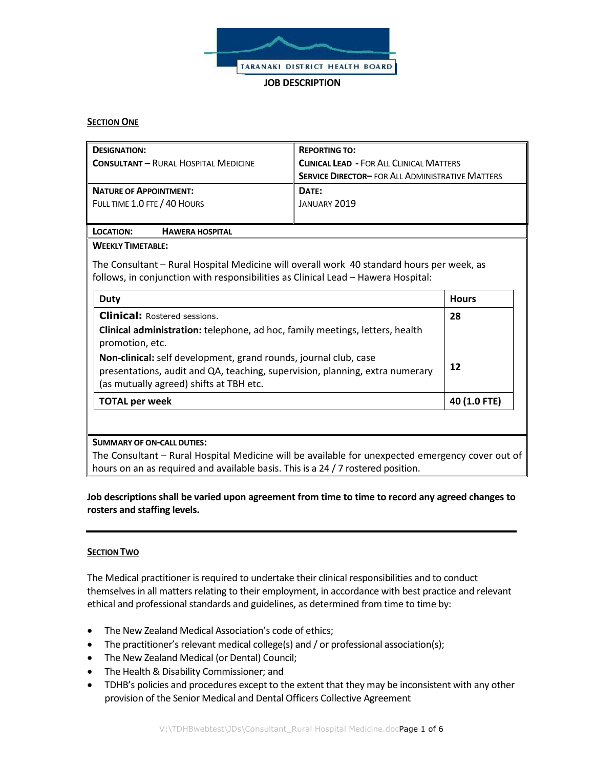

**JOB DESCRIPTION**

### **SECTION ONE**

| <b>DESIGNATION:</b><br><b>CONSULTANT - RURAL HOSPITAL MEDICINE</b> | <b>REPORTING TO:</b><br><b>CLINICAL LEAD - FOR ALL CLINICAL MATTERS</b><br><b>SERVICE DIRECTOR-FOR ALL ADMINISTRATIVE MATTERS</b> |
|--------------------------------------------------------------------|-----------------------------------------------------------------------------------------------------------------------------------|
| <b>NATURE OF APPOINTMENT:</b>                                      | DATE:                                                                                                                             |
| FULL TIME 1.0 FTE / 40 HOURS                                       | JANUARY 2019                                                                                                                      |

# **LOCATION: HAWERA HOSPITAL**

# **WEEKLY TIMETABLE:**

The Consultant – Rural Hospital Medicine will overall work 40 standard hours per week, as follows, in conjunction with responsibilities as Clinical Lead – Hawera Hospital:

| Duty                                                                                                                                                                                        | <b>Hours</b> |
|---------------------------------------------------------------------------------------------------------------------------------------------------------------------------------------------|--------------|
| <b>Clinical: Rostered sessions.</b>                                                                                                                                                         | 28           |
| Clinical administration: telephone, ad hoc, family meetings, letters, health<br>promotion, etc.                                                                                             |              |
| Non-clinical: self development, grand rounds, journal club, case<br>presentations, audit and QA, teaching, supervision, planning, extra numerary<br>(as mutually agreed) shifts at TBH etc. | 12           |
| <b>TOTAL per week</b>                                                                                                                                                                       | 40 (1.0 FTE) |

#### **SUMMARY OF ON-CALL DUTIES:**

The Consultant – Rural Hospital Medicine will be available for unexpected emergency cover out of hours on an as required and available basis. This is a 24 / 7 rostered position.

# **Job descriptions shall be varied upon agreement from time to time to record any agreed changes to rosters and staffing levels.**

# **SECTION TWO**

The Medical practitioner is required to undertake their clinical responsibilities and to conduct themselves in all matters relating to their employment, in accordance with best practice and relevant ethical and professional standards and guidelines, as determined from time to time by:

- The New Zealand Medical Association's code of ethics;
- The practitioner's relevant medical college(s) and / or professional association(s);
- The New Zealand Medical (or Dental) Council;
- The Health & Disability Commissioner; and
- TDHB's policies and procedures except to the extent that they may be inconsistent with any other provision of the Senior Medical and Dental Officers Collective Agreement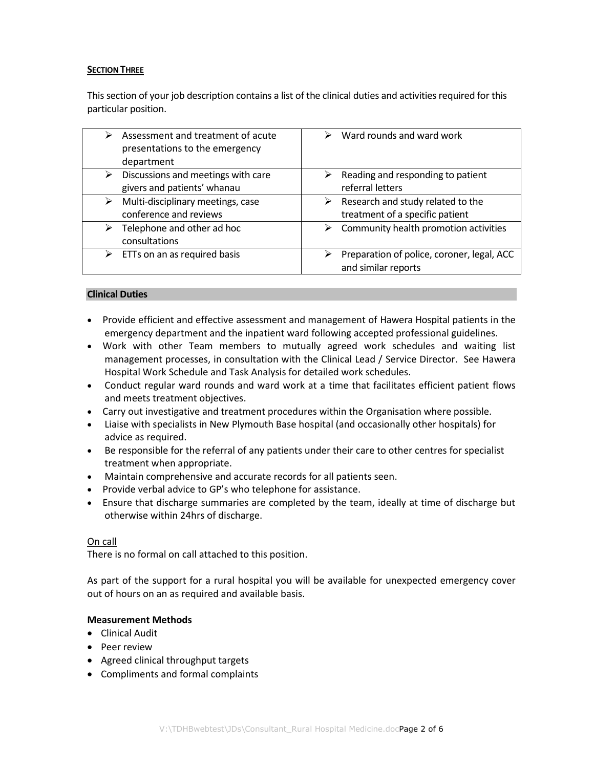# **SECTION THREE**

This section of your job description contains a list of the clinical duties and activities required for this particular position.

| Assessment and treatment of acute<br>⋗<br>presentations to the emergency<br>department | Ward rounds and ward work<br>⋗             |
|----------------------------------------------------------------------------------------|--------------------------------------------|
| Discussions and meetings with care                                                     | Reading and responding to patient          |
| ⋗                                                                                      | ➤                                          |
| givers and patients' whanau                                                            | referral letters                           |
| Multi-disciplinary meetings, case                                                      | Research and study related to the          |
| ⋗                                                                                      | ➤                                          |
| conference and reviews                                                                 | treatment of a specific patient            |
| Telephone and other ad hoc<br>➤<br>consultations                                       | Community health promotion activities<br>➤ |
| ETTs on an as required basis                                                           | Preparation of police, coroner, legal, ACC |
| ⋗                                                                                      | and similar reports                        |

### **Clinical Duties**

- Provide efficient and effective assessment and management of Hawera Hospital patients in the emergency department and the inpatient ward following accepted professional guidelines.
- Work with other Team members to mutually agreed work schedules and waiting list management processes, in consultation with the Clinical Lead / Service Director. See Hawera Hospital Work Schedule and Task Analysis for detailed work schedules.
- Conduct regular ward rounds and ward work at a time that facilitates efficient patient flows and meets treatment objectives.
- Carry out investigative and treatment procedures within the Organisation where possible.
- Liaise with specialists in New Plymouth Base hospital (and occasionally other hospitals) for advice as required.
- Be responsible for the referral of any patients under their care to other centres for specialist treatment when appropriate.
- Maintain comprehensive and accurate records for all patients seen.
- Provide verbal advice to GP's who telephone for assistance.
- Ensure that discharge summaries are completed by the team, ideally at time of discharge but otherwise within 24hrs of discharge.

#### On call

There is no formal on call attached to this position.

As part of the support for a rural hospital you will be available for unexpected emergency cover out of hours on an as required and available basis.

#### **Measurement Methods**

- Clinical Audit
- Peer review
- Agreed clinical throughput targets
- Compliments and formal complaints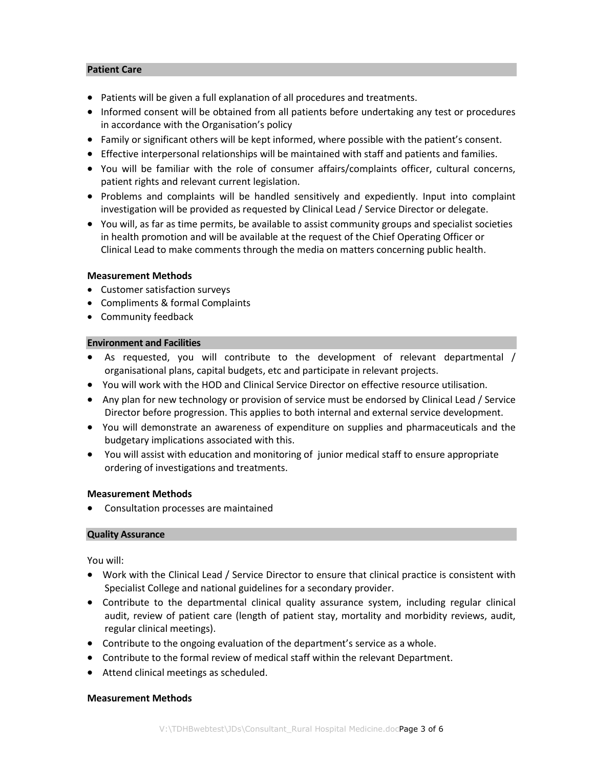# **Patient Care**

- Patients will be given a full explanation of all procedures and treatments.
- Informed consent will be obtained from all patients before undertaking any test or procedures in accordance with the Organisation's policy
- Family or significant others will be kept informed, where possible with the patient's consent.
- Effective interpersonal relationships will be maintained with staff and patients and families.
- You will be familiar with the role of consumer affairs/complaints officer, cultural concerns, patient rights and relevant current legislation.
- Problems and complaints will be handled sensitively and expediently. Input into complaint investigation will be provided as requested by Clinical Lead / Service Director or delegate.
- You will, as far as time permits, be available to assist community groups and specialist societies in health promotion and will be available at the request of the Chief Operating Officer or Clinical Lead to make comments through the media on matters concerning public health.

### **Measurement Methods**

- Customer satisfaction surveys
- Compliments & formal Complaints
- Community feedback

### **Environment and Facilities**

- As requested, you will contribute to the development of relevant departmental / organisational plans, capital budgets, etc and participate in relevant projects.
- You will work with the HOD and Clinical Service Director on effective resource utilisation.
- Any plan for new technology or provision of service must be endorsed by Clinical Lead / Service Director before progression. This applies to both internal and external service development.
- You will demonstrate an awareness of expenditure on supplies and pharmaceuticals and the budgetary implications associated with this.
- You will assist with education and monitoring of junior medical staff to ensure appropriate ordering of investigations and treatments.

# **Measurement Methods**

Consultation processes are maintained

#### **Quality Assurance**

You will:

- Work with the Clinical Lead / Service Director to ensure that clinical practice is consistent with Specialist College and national guidelines for a secondary provider.
- Contribute to the departmental clinical quality assurance system, including regular clinical audit, review of patient care (length of patient stay, mortality and morbidity reviews, audit, regular clinical meetings).
- Contribute to the ongoing evaluation of the department's service as a whole.
- Contribute to the formal review of medical staff within the relevant Department.
- Attend clinical meetings as scheduled.

#### **Measurement Methods**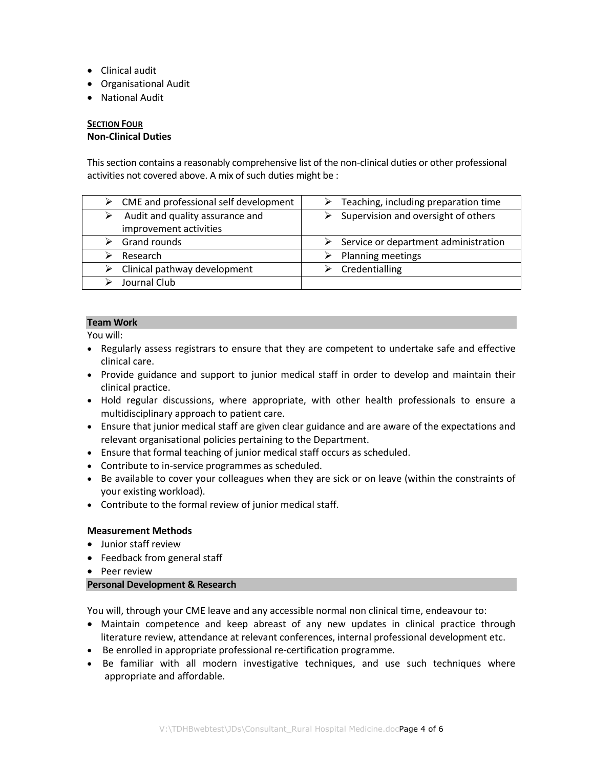- Clinical audit
- Organisational Audit
- National Audit

# **SECTION FOUR Non-Clinical Duties**

This section contains a reasonably comprehensive list of the non-clinical duties or other professional activities not covered above. A mix of such duties might be :

| CME and professional self development<br>≻ | $\triangleright$ Teaching, including preparation time |
|--------------------------------------------|-------------------------------------------------------|
| Audit and quality assurance and            | Supervision and oversight of others                   |
| improvement activities                     |                                                       |
| Grand rounds                               | Service or department administration                  |
| Research                                   | Planning meetings                                     |
| Clinical pathway development               | Credentialling                                        |
| Journal Club                               |                                                       |

# **Team Work**

You will:

- Regularly assess registrars to ensure that they are competent to undertake safe and effective clinical care.
- Provide guidance and support to junior medical staff in order to develop and maintain their clinical practice.
- Hold regular discussions, where appropriate, with other health professionals to ensure a multidisciplinary approach to patient care.
- Ensure that junior medical staff are given clear guidance and are aware of the expectations and relevant organisational policies pertaining to the Department.
- Ensure that formal teaching of junior medical staff occurs as scheduled.
- Contribute to in-service programmes as scheduled.
- Be available to cover your colleagues when they are sick or on leave (within the constraints of your existing workload).
- Contribute to the formal review of junior medical staff.

# **Measurement Methods**

- Junior staff review
- Feedback from general staff
- Peer review

# **Personal Development & Research**

You will, through your CME leave and any accessible normal non clinical time, endeavour to:

- Maintain competence and keep abreast of any new updates in clinical practice through literature review, attendance at relevant conferences, internal professional development etc.
- Be enrolled in appropriate professional re-certification programme.
- Be familiar with all modern investigative techniques, and use such techniques where appropriate and affordable.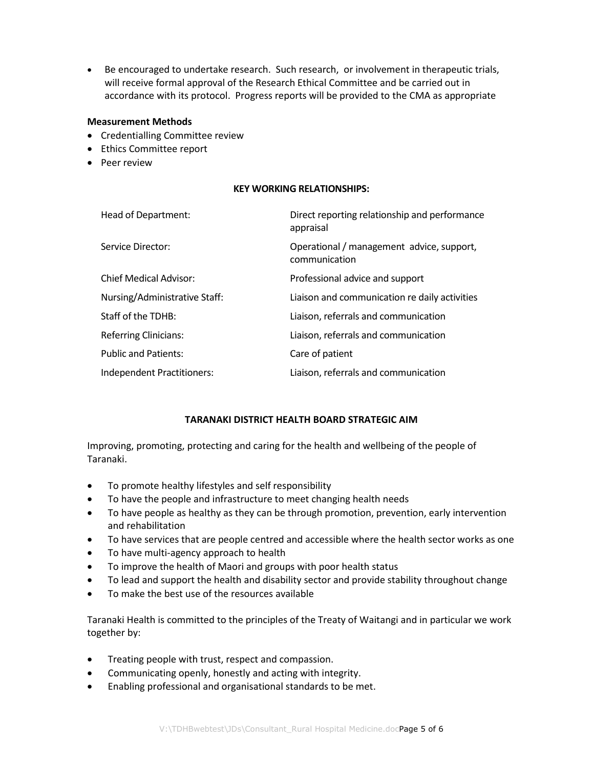Be encouraged to undertake research. Such research, or involvement in therapeutic trials, will receive formal approval of the Research Ethical Committee and be carried out in accordance with its protocol. Progress reports will be provided to the CMA as appropriate

#### **Measurement Methods**

- Credentialling Committee review
- Ethics Committee report
- Peer review

### **KEY WORKING RELATIONSHIPS:**

| Head of Department:           | Direct reporting relationship and performance<br>appraisal |
|-------------------------------|------------------------------------------------------------|
| Service Director:             | Operational / management advice, support,<br>communication |
| <b>Chief Medical Advisor:</b> | Professional advice and support                            |
| Nursing/Administrative Staff: | Liaison and communication re daily activities              |
| Staff of the TDHB:            | Liaison, referrals and communication                       |
| <b>Referring Clinicians:</b>  | Liaison, referrals and communication                       |
| <b>Public and Patients:</b>   | Care of patient                                            |
| Independent Practitioners:    | Liaison, referrals and communication                       |

# **TARANAKI DISTRICT HEALTH BOARD STRATEGIC AIM**

Improving, promoting, protecting and caring for the health and wellbeing of the people of Taranaki.

- To promote healthy lifestyles and self responsibility
- To have the people and infrastructure to meet changing health needs
- To have people as healthy as they can be through promotion, prevention, early intervention and rehabilitation
- To have services that are people centred and accessible where the health sector works as one
- To have multi-agency approach to health
- To improve the health of Maori and groups with poor health status
- To lead and support the health and disability sector and provide stability throughout change
- To make the best use of the resources available

Taranaki Health is committed to the principles of the Treaty of Waitangi and in particular we work together by:

- Treating people with trust, respect and compassion.
- Communicating openly, honestly and acting with integrity.
- Enabling professional and organisational standards to be met.